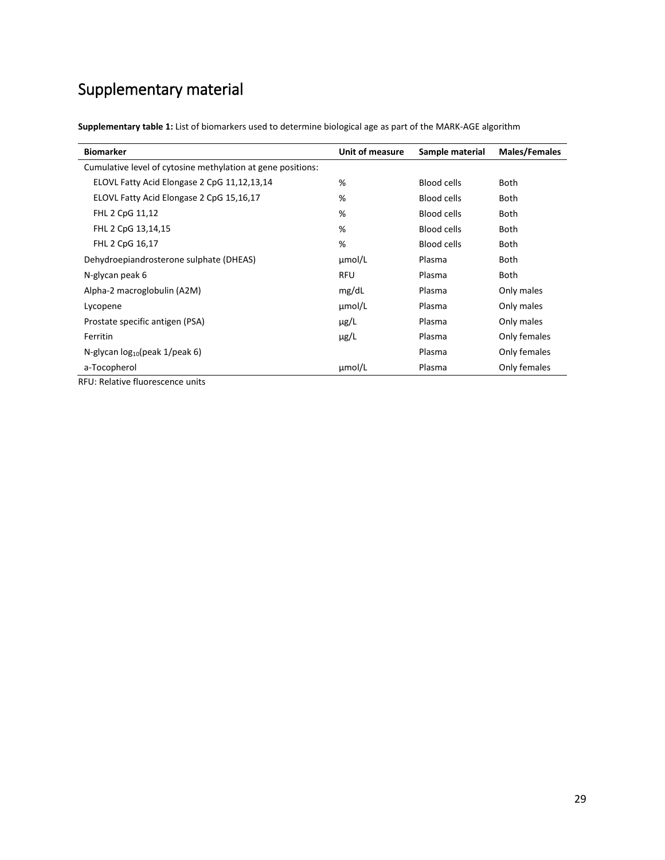## Supplementary material

| <b>Biomarker</b>                                            | Unit of measure | Sample material    | Males/Females |
|-------------------------------------------------------------|-----------------|--------------------|---------------|
| Cumulative level of cytosine methylation at gene positions: |                 |                    |               |
| ELOVL Fatty Acid Elongase 2 CpG 11,12,13,14                 | %               | <b>Blood cells</b> | Both          |
| ELOVL Fatty Acid Elongase 2 CpG 15,16,17                    | %               | <b>Blood cells</b> | <b>Both</b>   |
| FHL 2 CpG 11,12                                             | %               | <b>Blood cells</b> | <b>Both</b>   |
| FHL 2 CpG 13,14,15                                          | %               | <b>Blood cells</b> | <b>Both</b>   |
| FHL 2 CpG 16,17                                             | %               | <b>Blood cells</b> | <b>Both</b>   |
| Dehydroepiandrosterone sulphate (DHEAS)                     | $\mu$ mol/L     | Plasma             | <b>Both</b>   |
| N-glycan peak 6                                             | <b>RFU</b>      | Plasma             | Both          |
| Alpha-2 macroglobulin (A2M)                                 | mg/dL           | Plasma             | Only males    |
| Lycopene                                                    | umol/L          | Plasma             | Only males    |
| Prostate specific antigen (PSA)                             | $\mu$ g/L       | Plasma             | Only males    |
| Ferritin                                                    | $\mu$ g/L       | Plasma             | Only females  |
| N-glycan $log_{10}(peak 1/peak 6)$                          |                 | Plasma             | Only females  |
| a-Tocopherol                                                | µmol/L          | Plasma             | Only females  |

RFU: Relative fluorescence units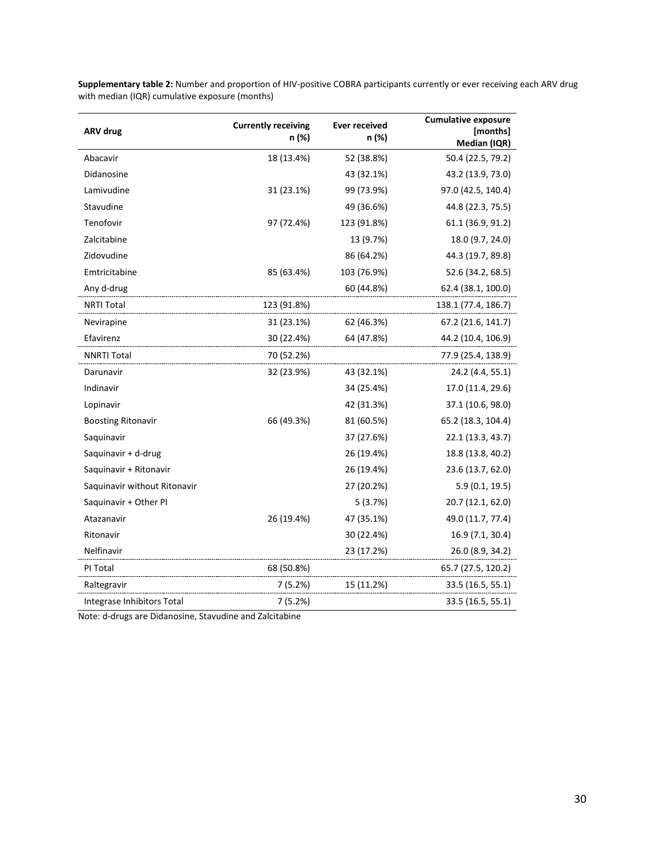| <b>ARV drug</b>              | <b>Currently receiving</b><br>n (%) | <b>Ever received</b><br>n (%) | <b>Cumulative exposure</b><br>[months]<br>Median (IQR) |
|------------------------------|-------------------------------------|-------------------------------|--------------------------------------------------------|
| Abacavir                     | 18 (13.4%)                          | 52 (38.8%)                    | 50.4 (22.5, 79.2)                                      |
| Didanosine                   |                                     | 43 (32.1%)                    | 43.2 (13.9, 73.0)                                      |
| Lamivudine                   | 31 (23.1%)                          | 99 (73.9%)                    | 97.0 (42.5, 140.4)                                     |
| Stavudine                    |                                     | 49 (36.6%)                    | 44.8 (22.3, 75.5)                                      |
| Tenofovir                    | 97 (72.4%)                          | 123 (91.8%)                   | 61.1 (36.9, 91.2)                                      |
| Zalcitabine                  |                                     | 13 (9.7%)                     | 18.0 (9.7, 24.0)                                       |
| Zidovudine                   |                                     | 86 (64.2%)                    | 44.3 (19.7, 89.8)                                      |
| Emtricitabine                | 85 (63.4%)                          | 103 (76.9%)                   | 52.6 (34.2, 68.5)                                      |
| Any d-drug                   |                                     | 60 (44.8%)                    | 62.4 (38.1, 100.0)                                     |
| NRTI Total                   | 123 (91.8%)                         |                               | 138.1 (77.4, 186.7)                                    |
| Nevirapine                   | 31 (23.1%)                          | 62 (46.3%)                    | 67.2 (21.6, 141.7)                                     |
| Efavirenz                    | 30 (22.4%)                          | 64 (47.8%)                    | 44.2 (10.4, 106.9)                                     |
| <b>NNRTI Total</b>           | 70 (52.2%)                          |                               | 77.9 (25.4, 138.9)                                     |
| Darunavir                    | 32 (23.9%)                          | 43 (32.1%)                    | 24.2 (4.4, 55.1)                                       |
| Indinavir                    |                                     | 34 (25.4%)                    | 17.0 (11.4, 29.6)                                      |
| Lopinavir                    |                                     | 42 (31.3%)                    | 37.1 (10.6, 98.0)                                      |
| <b>Boosting Ritonavir</b>    | 66 (49.3%)                          | 81 (60.5%)                    | 65.2 (18.3, 104.4)                                     |
| Saquinavir                   |                                     | 37 (27.6%)                    | 22.1 (13.3, 43.7)                                      |
| Saquinavir + d-drug          |                                     | 26 (19.4%)                    | 18.8 (13.8, 40.2)                                      |
| Saquinavir + Ritonavir       |                                     | 26 (19.4%)                    | 23.6 (13.7, 62.0)                                      |
| Saquinavir without Ritonavir |                                     | 27 (20.2%)                    | 5.9(0.1, 19.5)                                         |
| Saquinavir + Other PI        |                                     | 5(3.7%)                       | 20.7 (12.1, 62.0)                                      |
| Atazanavir                   | 26 (19.4%)                          | 47 (35.1%)                    | 49.0 (11.7, 77.4)                                      |
| Ritonavir                    |                                     | 30 (22.4%)                    | 16.9 (7.1, 30.4)                                       |
| Nelfinavir                   |                                     | 23 (17.2%)                    | 26.0 (8.9, 34.2)                                       |
| PI Total                     | 68 (50.8%)                          |                               | 65.7 (27.5, 120.2)                                     |
| Raltegravir                  | 7(5.2%)                             | 15 (11.2%)                    | 33.5 (16.5, 55.1)                                      |
| Integrase Inhibitors Total   | 7 (5.2%)                            |                               | 33.5 (16.5, 55.1)                                      |

**Supplementary table 2:** Number and proportion of HIV-positive COBRA participants currently or ever receiving each ARV drug with median (IQR) cumulative exposure (months)

Note: d-drugs are Didanosine, Stavudine and Zalcitabine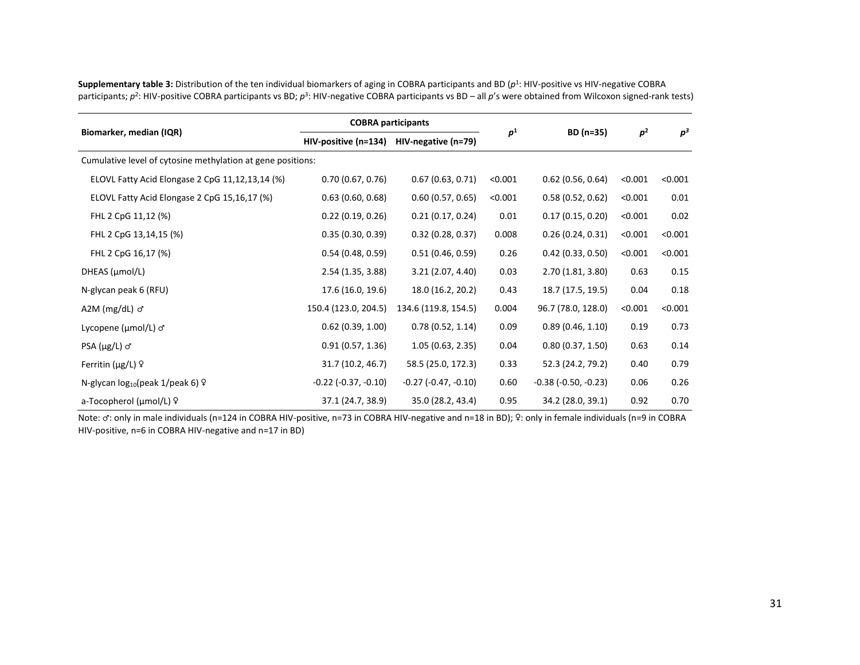| Biomarker, median (IQR)                                     | <b>COBRA participants</b>     |                               |                |                               |                |         |
|-------------------------------------------------------------|-------------------------------|-------------------------------|----------------|-------------------------------|----------------|---------|
|                                                             | HIV-positive (n=134)          | HIV-negative (n=79)           | p <sup>1</sup> | BD (n=35)                     | p <sup>2</sup> | $p^3$   |
| Cumulative level of cytosine methylation at gene positions: |                               |                               |                |                               |                |         |
| ELOVL Fatty Acid Elongase 2 CpG 11,12,13,14 (%)             | 0.70(0.67, 0.76)              | 0.67(0.63, 0.71)              | < 0.001        | $0.62$ (0.56, 0.64)           | < 0.001        | < 0.001 |
| ELOVL Fatty Acid Elongase 2 CpG 15,16,17 (%)                | 0.63(0.60, 0.68)              | 0.60(0.57, 0.65)              | < 0.001        | 0.58(0.52, 0.62)              | < 0.001        | 0.01    |
| FHL 2 CpG 11,12 (%)                                         | 0.22(0.19, 0.26)              | 0.21(0.17, 0.24)              | 0.01           | 0.17(0.15, 0.20)              | < 0.001        | 0.02    |
| FHL 2 CpG 13,14,15 (%)                                      | 0.35(0.30, 0.39)              | 0.32(0.28, 0.37)              | 0.008          | 0.26(0.24, 0.31)              | < 0.001        | < 0.001 |
| FHL 2 CpG 16,17 (%)                                         | 0.54(0.48, 0.59)              | 0.51(0.46, 0.59)              | 0.26           | 0.42(0.33, 0.50)              | < 0.001        | < 0.001 |
| DHEAS (µmol/L)                                              | 2.54 (1.35, 3.88)             | 3.21 (2.07, 4.40)             | 0.03           | 2.70 (1.81, 3.80)             | 0.63           | 0.15    |
| N-glycan peak 6 (RFU)                                       | 17.6 (16.0, 19.6)             | 18.0 (16.2, 20.2)             | 0.43           | 18.7 (17.5, 19.5)             | 0.04           | 0.18    |
| A2M ( $mg/dL$ ) $\sigma$                                    | 150.4 (123.0, 204.5)          | 134.6 (119.8, 154.5)          | 0.004          | 96.7 (78.0, 128.0)            | < 0.001        | < 0.001 |
| Lycopene (µmol/L) o'                                        | $0.62$ (0.39, 1.00)           | 0.78(0.52, 1.14)              | 0.09           | 0.89(0.46, 1.10)              | 0.19           | 0.73    |
| $PSA (\mu g/L) \sigma$                                      | 0.91(0.57, 1.36)              | 1.05(0.63, 2.35)              | 0.04           | 0.80(0.37, 1.50)              | 0.63           | 0.14    |
| Ferritin ( $\mu$ g/L) $\circ$                               | 31.7 (10.2, 46.7)             | 58.5 (25.0, 172.3)            | 0.33           | 52.3 (24.2, 79.2)             | 0.40           | 0.79    |
| N-glycan $log_{10}(peak 1/peak 6)$ º                        | $-0.22$ ( $-0.37$ , $-0.10$ ) | $-0.27$ ( $-0.47$ , $-0.10$ ) | 0.60           | $-0.38$ ( $-0.50$ , $-0.23$ ) | 0.06           | 0.26    |
| a-Tocopherol (µmol/L) 9                                     | 37.1 (24.7, 38.9)             | 35.0 (28.2, 43.4)             | 0.95           | 34.2 (28.0, 39.1)             | 0.92           | 0.70    |

**Supplementary table 3:** Distribution of the ten individual biomarkers of aging in COBRA participants and BD (*p* 1 : HIV-positive vs HIV-negative COBRA participants; *p*<sup>2</sup>: HIV-positive COBRA participants vs BD; *p*<sup>3</sup>: HIV-negative COBRA participants vs BD – all *p*'s were obtained from Wilcoxon signed-rank tests)

Note: ♂: only in male individuals (n=124 in COBRA HIV-positive, n=73 in COBRA HIV-negative and n=18 in BD); ♀: only in female individuals (n=9 in COBRA HIV-positive, n=6 in COBRA HIV-negative and n=17 in BD)